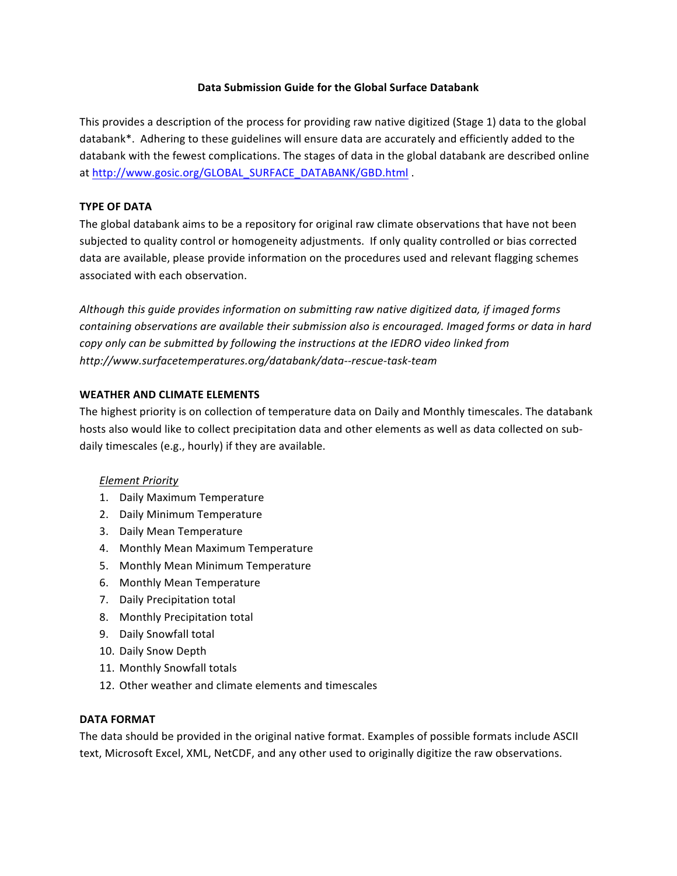## **Data Submission Guide for the Global Surface Databank**

This provides a description of the process for providing raw native digitized (Stage 1) data to the global databank\*. Adhering to these guidelines will ensure data are accurately and efficiently added to the databank with the fewest complications. The stages of data in the global databank are described online at http://www.gosic.org/GLOBAL\_SURFACE\_DATABANK/GBD.html .

## **TYPE OF DATA**

The global databank aims to be a repository for original raw climate observations that have not been subjected to quality control or homogeneity adjustments. If only quality controlled or bias corrected data are available, please provide information on the procedures used and relevant flagging schemes associated with each observation.

Although this guide provides information on submitting raw native digitized data, if imaged forms *containing observations are available their submission also is encouraged. Imaged forms or data in hard copy only can be submitted by following the instructions at the IEDRO video linked from* http://www.surfacetemperatures.org/databank/data--rescue-task-team

## **WEATHER AND CLIMATE ELEMENTS**

The highest priority is on collection of temperature data on Daily and Monthly timescales. The databank hosts also would like to collect precipitation data and other elements as well as data collected on subdaily timescales (e.g., hourly) if they are available.

#### *Element Priority*

- 1. Daily Maximum Temperature
- 2. Daily Minimum Temperature
- 3. Daily Mean Temperature
- 4. Monthly Mean Maximum Temperature
- 5. Monthly Mean Minimum Temperature
- 6. Monthly Mean Temperature
- 7. Daily Precipitation total
- 8. Monthly Precipitation total
- 9. Daily Snowfall total
- 10. Daily Snow Depth
- 11. Monthly Snowfall totals
- 12. Other weather and climate elements and timescales

#### **DATA FORMAT**

The data should be provided in the original native format. Examples of possible formats include ASCII text, Microsoft Excel, XML, NetCDF, and any other used to originally digitize the raw observations.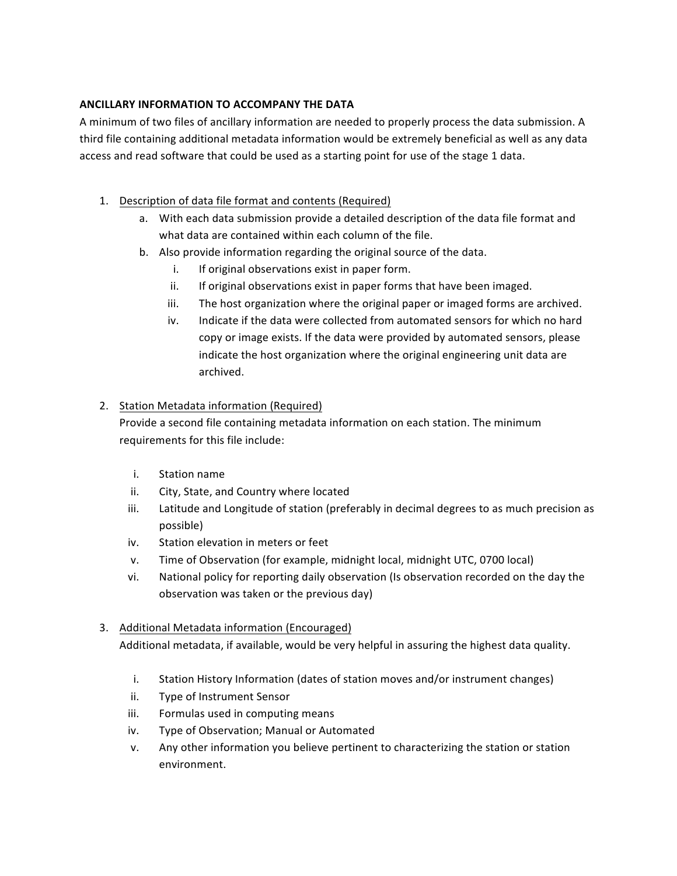## **ANCILLARY INFORMATION TO ACCOMPANY THE DATA**

A minimum of two files of ancillary information are needed to properly process the data submission. A third file containing additional metadata information would be extremely beneficial as well as any data access and read software that could be used as a starting point for use of the stage 1 data.

- 1. Description of data file format and contents (Required)
	- a. With each data submission provide a detailed description of the data file format and what data are contained within each column of the file.
	- b. Also provide information regarding the original source of the data.
		- i. If original observations exist in paper form.
		- ii. If original observations exist in paper forms that have been imaged.
		- iii. The host organization where the original paper or imaged forms are archived.
		- iv. Indicate if the data were collected from automated sensors for which no hard copy or image exists. If the data were provided by automated sensors, please indicate the host organization where the original engineering unit data are archived.

# 2. Station Metadata information (Required)

Provide a second file containing metadata information on each station. The minimum requirements for this file include:

- i. Station name
- ii. City, State, and Country where located
- iii. Latitude and Longitude of station (preferably in decimal degrees to as much precision as possible)
- iv. Station elevation in meters or feet
- v. Time of Observation (for example, midnight local, midnight UTC, 0700 local)
- vi. National policy for reporting daily observation (Is observation recorded on the day the observation was taken or the previous day)

# 3. Additional Metadata information (Encouraged)

Additional metadata, if available, would be very helpful in assuring the highest data quality.

- i. Station History Information (dates of station moves and/or instrument changes)
- ii. Type of Instrument Sensor
- iii. Formulas used in computing means
- iv. Type of Observation; Manual or Automated
- v. Any other information you believe pertinent to characterizing the station or station environment.